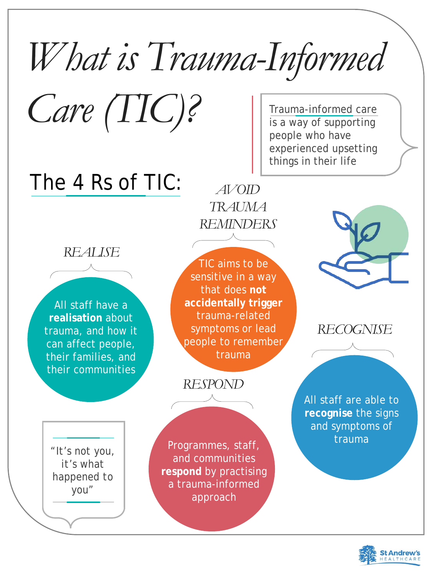## *What is Trauma-Informed*

Care (TIC)? Trauma-informed care is a way of supporting people who have experienced upsetting things in their life



The 4 Rs of TIC:

*REALISE*



All staff have a **realisation** about trauma, and how it can affect people, their families, and their communities

*AVOID TRAUMA REMINDERS*

> *Grain* trauma **recognise** the signs and symptoms of

TIC aims to be sensitive in a way that does **not accidentally trigger**  trauma-related symptoms or lead people to remember trauma

*RECOGNISE*



All staff are able to



Programmes, staff, and communities **respond** by practising a trauma-informed approach